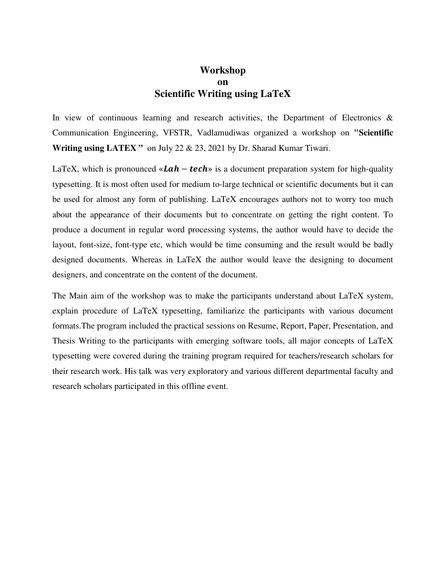## **Workshop on Scientific Writing using LaTeX**

In view of continuous learning and research activities, the Department of Electronics  $\&$ Communication Engineering, VFSTR, Vadlamudiwas organized a workshop on **"Scientific Writing using LATEX** " on July 22 & 23, 2021 by Dr. Sharad Kumar Tiwari.

LaTeX, which is pronounced « $Lah - tech$ » is a document preparation system for high-quality typesetting. It is most often used for medium to-large technical or scientific documents but it can be used for almost any form of publishing. LaTeX encourages authors not to worry too much about the appearance of their documents but to concentrate on getting the right content. To produce a document in regular word processing systems, the author would have to decide the layout, font-size, font-type etc, which would be time consuming and the result would be badly designed documents. Whereas in LaTeX the author would leave the designing to document designers, and concentrate on the content of the document.

The Main aim of the workshop was to make the participants understand about LaTeX system, explain procedure of LaTeX typesetting, familiarize the participants with various document formats.The program included the practical sessions on Resume, Report, Paper, Presentation, and Thesis Writing to the participants with emerging software tools, all major concepts of LaTeX typesetting were covered during the training program required for teachers/research scholars for their research work. His talk was very exploratory and various different departmental faculty and research scholars participated in this offline event.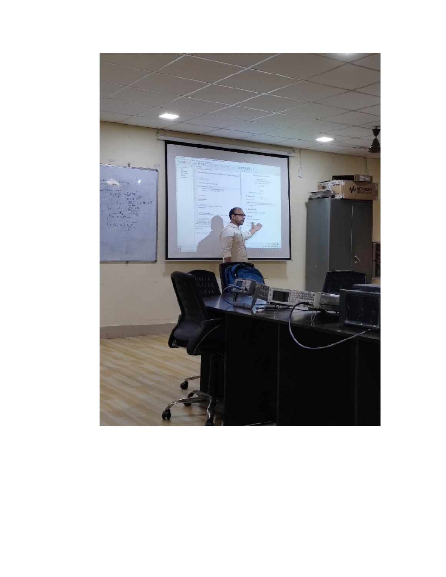